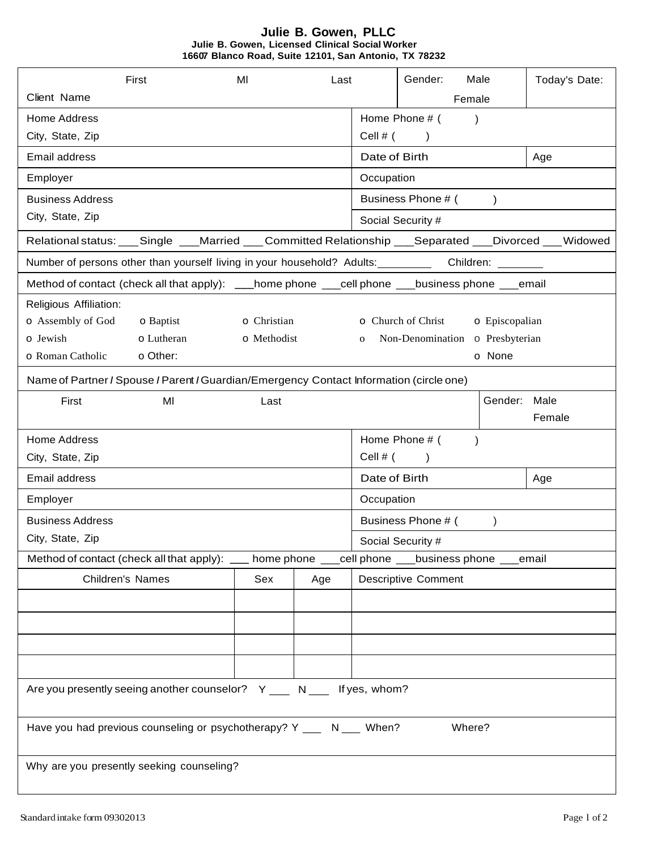## **Julie B. Gowen, PLLC Julie B. Gowen, Licensed Clinical Social Worker 16607 Blanco Road, Suite 12101, San Antonio, TX 78232**

|                                                                                                         | First                                                                                   | MI          | Last |                      | Gender:<br>Male                             | Today's Date: |  |  |
|---------------------------------------------------------------------------------------------------------|-----------------------------------------------------------------------------------------|-------------|------|----------------------|---------------------------------------------|---------------|--|--|
| Client Name                                                                                             |                                                                                         |             |      |                      | Female                                      |               |  |  |
| <b>Home Address</b>                                                                                     |                                                                                         |             |      |                      | Home Phone # (<br>$\lambda$                 |               |  |  |
| City, State, Zip                                                                                        |                                                                                         |             |      | Cell $#$ (           | $\lambda$                                   |               |  |  |
| Email address                                                                                           |                                                                                         |             |      | Date of Birth        |                                             | Age           |  |  |
| Employer                                                                                                |                                                                                         |             |      | Occupation           |                                             |               |  |  |
| <b>Business Address</b>                                                                                 |                                                                                         |             |      |                      | Business Phone # ()                         |               |  |  |
| City, State, Zip                                                                                        |                                                                                         |             |      |                      | Social Security #                           |               |  |  |
| Relational status: ___Single ___Married ___Committed Relationship ___Separated ___Divorced ___Widowed   |                                                                                         |             |      |                      |                                             |               |  |  |
| Number of persons other than yourself living in your household? Adults: _________ Children: _______     |                                                                                         |             |      |                      |                                             |               |  |  |
| Method of contact (check all that apply): ___home phone ___cell phone ___business phone ___email        |                                                                                         |             |      |                      |                                             |               |  |  |
| Religious Affiliation:                                                                                  |                                                                                         |             |      |                      |                                             |               |  |  |
| o Assembly of God                                                                                       | o Baptist                                                                               | o Christian |      |                      | <b>o</b> Church of Christ<br>o Episcopalian |               |  |  |
| o Jewish                                                                                                | o Lutheran<br>o Methodist                                                               |             |      | $\mathbf{o}$         | Non-Denomination o Presbyterian             |               |  |  |
| o Roman Catholic                                                                                        | o Other:                                                                                |             |      |                      | o None                                      |               |  |  |
|                                                                                                         | Name of Partner / Spouse / Parent / Guardian/Emergency Contact Information (circle one) |             |      |                      |                                             |               |  |  |
| First                                                                                                   | MI                                                                                      | Last        |      |                      |                                             | Gender: Male  |  |  |
|                                                                                                         |                                                                                         |             |      |                      |                                             | Female        |  |  |
| <b>Home Address</b>                                                                                     |                                                                                         |             |      |                      | Home Phone # (<br>$\lambda$                 |               |  |  |
| City, State, Zip                                                                                        |                                                                                         |             |      |                      | Cell $#$ ( )                                |               |  |  |
| Email address                                                                                           |                                                                                         |             |      | Date of Birth<br>Age |                                             |               |  |  |
| Employer                                                                                                |                                                                                         |             |      | Occupation           |                                             |               |  |  |
| <b>Business Address</b>                                                                                 |                                                                                         |             |      | Business Phone # (   |                                             |               |  |  |
| City, State, Zip                                                                                        |                                                                                         |             |      | Social Security #    |                                             |               |  |  |
| cell phone ___business phone ___email<br>Method of contact (check all that apply): ___<br>home phone __ |                                                                                         |             |      |                      |                                             |               |  |  |
| Children's Names                                                                                        |                                                                                         | Sex         | Age  |                      | <b>Descriptive Comment</b>                  |               |  |  |
|                                                                                                         |                                                                                         |             |      |                      |                                             |               |  |  |
|                                                                                                         |                                                                                         |             |      |                      |                                             |               |  |  |
|                                                                                                         |                                                                                         |             |      |                      |                                             |               |  |  |
|                                                                                                         |                                                                                         |             |      |                      |                                             |               |  |  |
|                                                                                                         |                                                                                         |             |      |                      |                                             |               |  |  |
| Are you presently seeing another counselor? Y ___ N ___ If yes, whom?                                   |                                                                                         |             |      |                      |                                             |               |  |  |
| Have you had previous counseling or psychotherapy? Y ___ N ___ When?<br>Where?                          |                                                                                         |             |      |                      |                                             |               |  |  |
|                                                                                                         |                                                                                         |             |      |                      |                                             |               |  |  |
| Why are you presently seeking counseling?                                                               |                                                                                         |             |      |                      |                                             |               |  |  |